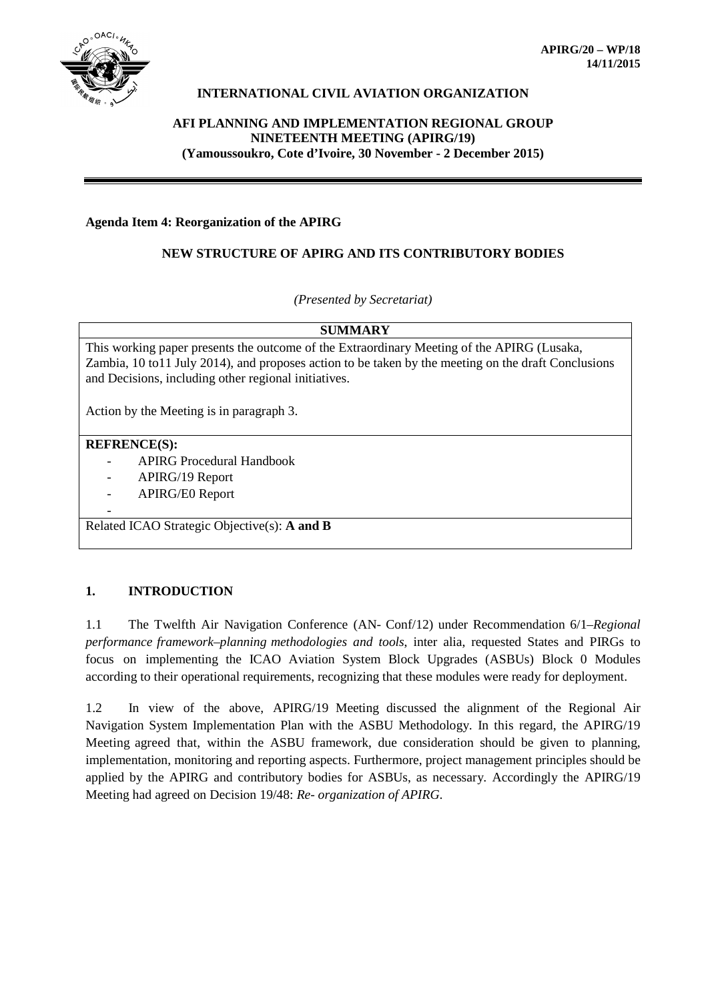

## **INTERNATIONAL CIVIL AVIATION ORGANIZATION**

# **AFI PLANNING AND IMPLEMENTATION REGIONAL GROUP NINETEENTH MEETING (APIRG/19) (Yamoussoukro, Cote d'Ivoire, 30 November - 2 December 2015)**

#### **Agenda Item 4: Reorganization of the APIRG**

#### **NEW STRUCTURE OF APIRG AND ITS CONTRIBUTORY BODIES**

*(Presented by Secretariat)*

#### **SUMMARY**

This working paper presents the outcome of the Extraordinary Meeting of the APIRG (Lusaka, Zambia, 10 to11 July 2014), and proposes action to be taken by the meeting on the draft Conclusions and Decisions, including other regional initiatives.

Action by the Meeting is in paragraph 3.

#### **REFRENCE(S):**

-

- APIRG Procedural Handbook
- APIRG/19 Report
- APIRG/E0 Report

Related ICAO Strategic Objective(s): **A and B**

#### **1. INTRODUCTION**

1.1 The Twelfth Air Navigation Conference (AN- Conf/12) under Recommendation 6/1–*Regional performance framework–planning methodologies and tools*, inter alia, requested States and PIRGs to focus on implementing the ICAO Aviation System Block Upgrades (ASBUs) Block 0 Modules according to their operational requirements, recognizing that these modules were ready for deployment.

1.2 In view of the above, APIRG/19 Meeting discussed the alignment of the Regional Air Navigation System Implementation Plan with the ASBU Methodology. In this regard, the APIRG/19 Meeting agreed that, within the ASBU framework, due consideration should be given to planning, implementation, monitoring and reporting aspects. Furthermore, project management principles should be applied by the APIRG and contributory bodies for ASBUs, as necessary. Accordingly the APIRG/19 Meeting had agreed on Decision 19/48: *Re- organization of APIRG*.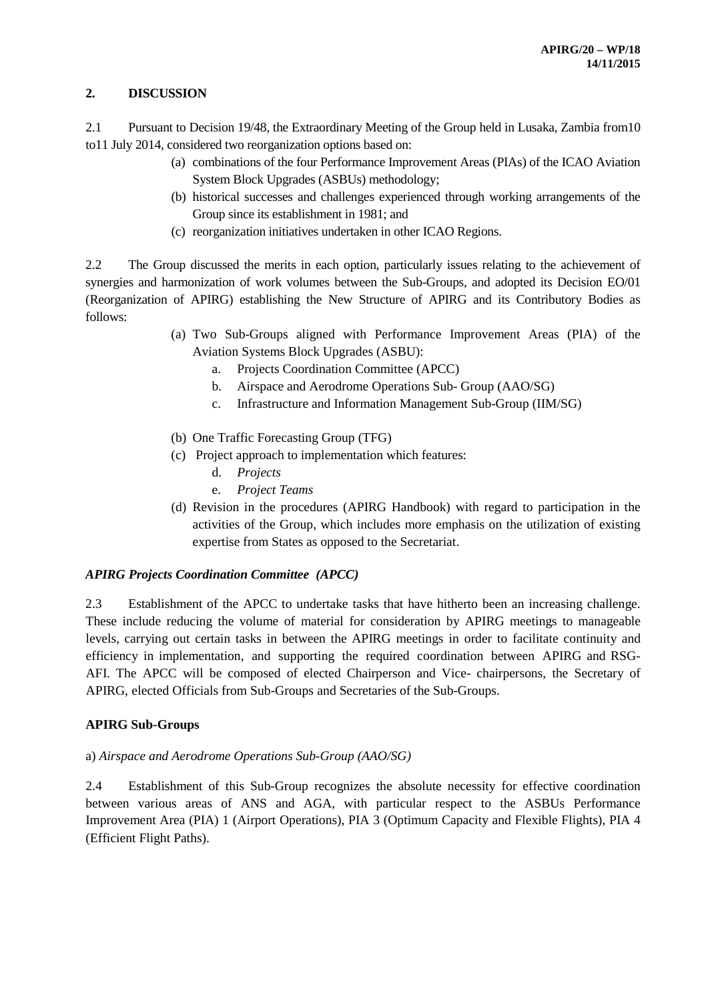## **2. DISCUSSION**

2.1 Pursuant to Decision 19/48, the Extraordinary Meeting of the Group held in Lusaka, Zambia from10 to11 July 2014, considered two reorganization options based on:

- (a) combinations of the four Performance Improvement Areas (PIAs) of the ICAO Aviation System Block Upgrades (ASBUs) methodology;
- (b) historical successes and challenges experienced through working arrangements of the Group since its establishment in 1981; and
- (c) reorganization initiatives undertaken in other ICAO Regions.

2.2 The Group discussed the merits in each option, particularly issues relating to the achievement of synergies and harmonization of work volumes between the Sub-Groups, and adopted its Decision EO/01 (Reorganization of APIRG) establishing the New Structure of APIRG and its Contributory Bodies as follows:

- (a) Two Sub-Groups aligned with Performance Improvement Areas (PIA) of the Aviation Systems Block Upgrades (ASBU):
	- a. Projects Coordination Committee (APCC)
	- b. Airspace and Aerodrome Operations Sub- Group (AAO/SG)
	- c. Infrastructure and Information Management Sub-Group (IIM/SG)
- (b) One Traffic Forecasting Group (TFG)
- (c) Project approach to implementation which features:
	- d. *Projects*
	- e. *Project Teams*
- (d) Revision in the procedures (APIRG Handbook) with regard to participation in the activities of the Group, which includes more emphasis on the utilization of existing expertise from States as opposed to the Secretariat.

## *APIRG Projects Coordination Committee (APCC)*

2.3 Establishment of the APCC to undertake tasks that have hitherto been an increasing challenge. These include reducing the volume of material for consideration by APIRG meetings to manageable levels, carrying out certain tasks in between the APIRG meetings in order to facilitate continuity and efficiency in implementation, and supporting the required coordination between APIRG and RSG-AFI. The APCC will be composed of elected Chairperson and Vice- chairpersons, the Secretary of APIRG, elected Officials from Sub-Groups and Secretaries of the Sub-Groups.

## **APIRG Sub-Groups**

## a) *Airspace and Aerodrome Operations Sub-Group (AAO/SG)*

2.4 Establishment of this Sub-Group recognizes the absolute necessity for effective coordination between various areas of ANS and AGA, with particular respect to the ASBUs Performance Improvement Area (PIA) 1 (Airport Operations), PIA 3 (Optimum Capacity and Flexible Flights), PIA 4 (Efficient Flight Paths).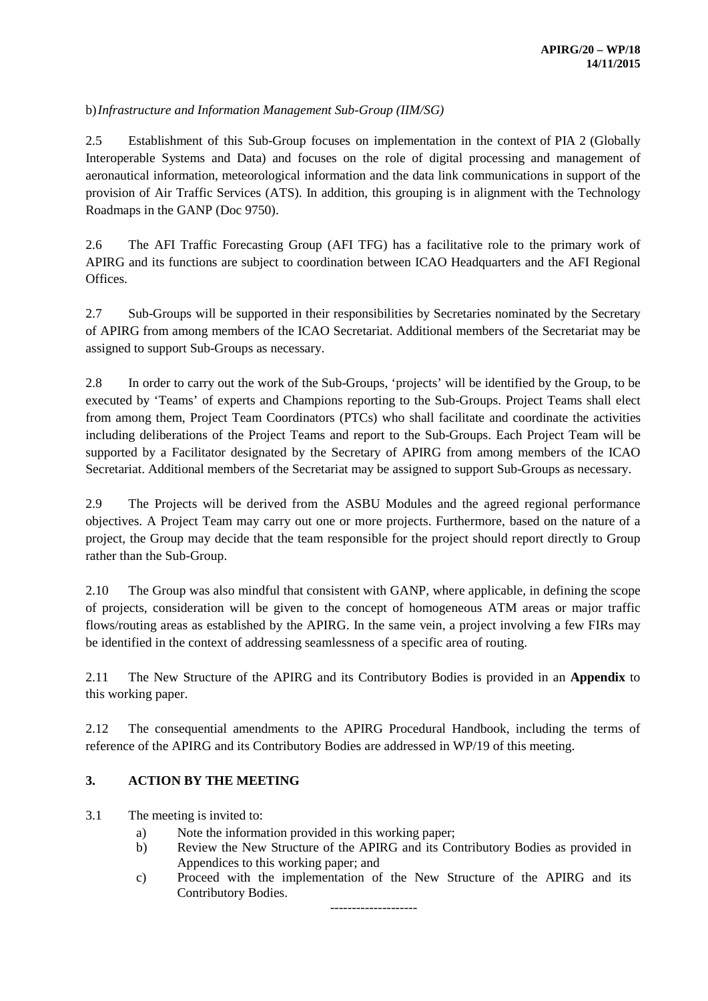## b)*Infrastructure and Information Management Sub-Group (IIM/SG)*

2.5 Establishment of this Sub-Group focuses on implementation in the context of PIA 2 (Globally Interoperable Systems and Data) and focuses on the role of digital processing and management of aeronautical information, meteorological information and the data link communications in support of the provision of Air Traffic Services (ATS). In addition, this grouping is in alignment with the Technology Roadmaps in the GANP (Doc 9750).

2.6 The AFI Traffic Forecasting Group (AFI TFG) has a facilitative role to the primary work of APIRG and its functions are subject to coordination between ICAO Headquarters and the AFI Regional Offices.

2.7 Sub-Groups will be supported in their responsibilities by Secretaries nominated by the Secretary of APIRG from among members of the ICAO Secretariat. Additional members of the Secretariat may be assigned to support Sub-Groups as necessary.

2.8 In order to carry out the work of the Sub-Groups, 'projects' will be identified by the Group, to be executed by 'Teams' of experts and Champions reporting to the Sub-Groups. Project Teams shall elect from among them, Project Team Coordinators (PTCs) who shall facilitate and coordinate the activities including deliberations of the Project Teams and report to the Sub-Groups. Each Project Team will be supported by a Facilitator designated by the Secretary of APIRG from among members of the ICAO Secretariat. Additional members of the Secretariat may be assigned to support Sub-Groups as necessary.

2.9 The Projects will be derived from the ASBU Modules and the agreed regional performance objectives. A Project Team may carry out one or more projects. Furthermore, based on the nature of a project, the Group may decide that the team responsible for the project should report directly to Group rather than the Sub-Group.

2.10 The Group was also mindful that consistent with GANP, where applicable, in defining the scope of projects, consideration will be given to the concept of homogeneous ATM areas or major traffic flows/routing areas as established by the APIRG. In the same vein, a project involving a few FIRs may be identified in the context of addressing seamlessness of a specific area of routing.

2.11 The New Structure of the APIRG and its Contributory Bodies is provided in an **Appendix** to this working paper.

2.12 The consequential amendments to the APIRG Procedural Handbook, including the terms of reference of the APIRG and its Contributory Bodies are addressed in WP/19 of this meeting.

## **3. ACTION BY THE MEETING**

3.1 The meeting is invited to:

- a) Note the information provided in this working paper;
- b) Review the New Structure of the APIRG and its Contributory Bodies as provided in Appendices to this working paper; and
- c) Proceed with the implementation of the New Structure of the APIRG and its Contributory Bodies.

--------------------